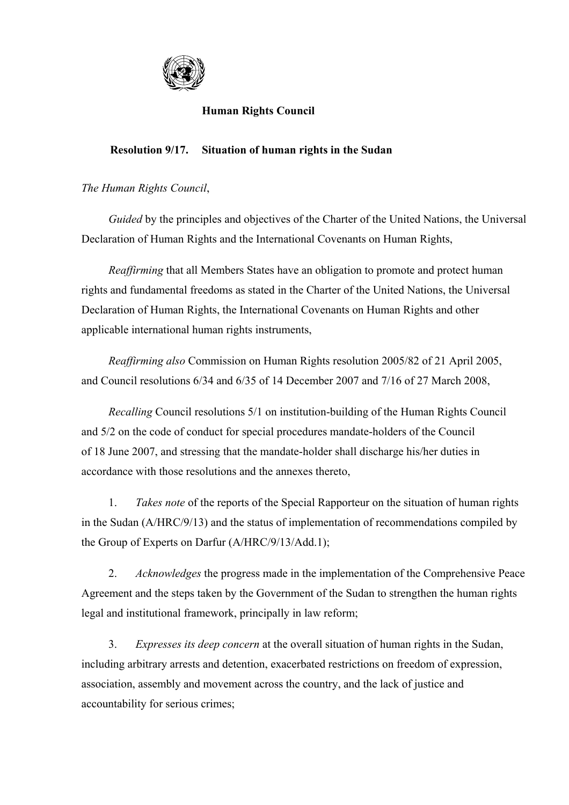

## **Human Rights Council**

## **Resolution 9/17. Situation of human rights in the Sudan**

## *The Human Rights Council*,

 *Guided* by the principles and objectives of the Charter of the United Nations, the Universal Declaration of Human Rights and the International Covenants on Human Rights,

 *Reaffirming* that all Members States have an obligation to promote and protect human rights and fundamental freedoms as stated in the Charter of the United Nations, the Universal Declaration of Human Rights, the International Covenants on Human Rights and other applicable international human rights instruments,

 *Reaffirming also* Commission on Human Rights resolution 2005/82 of 21 April 2005, and Council resolutions 6/34 and 6/35 of 14 December 2007 and 7/16 of 27 March 2008,

 *Recalling* Council resolutions 5/1 on institution-building of the Human Rights Council and 5/2 on the code of conduct for special procedures mandate-holders of the Council of 18 June 2007, and stressing that the mandate-holder shall discharge his/her duties in accordance with those resolutions and the annexes thereto,

 1. *Takes note* of the reports of the Special Rapporteur on the situation of human rights in the Sudan (A/HRC/9/13) and the status of implementation of recommendations compiled by the Group of Experts on Darfur (A/HRC/9/13/Add.1);

 2. *Acknowledges* the progress made in the implementation of the Comprehensive Peace Agreement and the steps taken by the Government of the Sudan to strengthen the human rights legal and institutional framework, principally in law reform;

 3. *Expresses its deep concern* at the overall situation of human rights in the Sudan, including arbitrary arrests and detention, exacerbated restrictions on freedom of expression, association, assembly and movement across the country, and the lack of justice and accountability for serious crimes;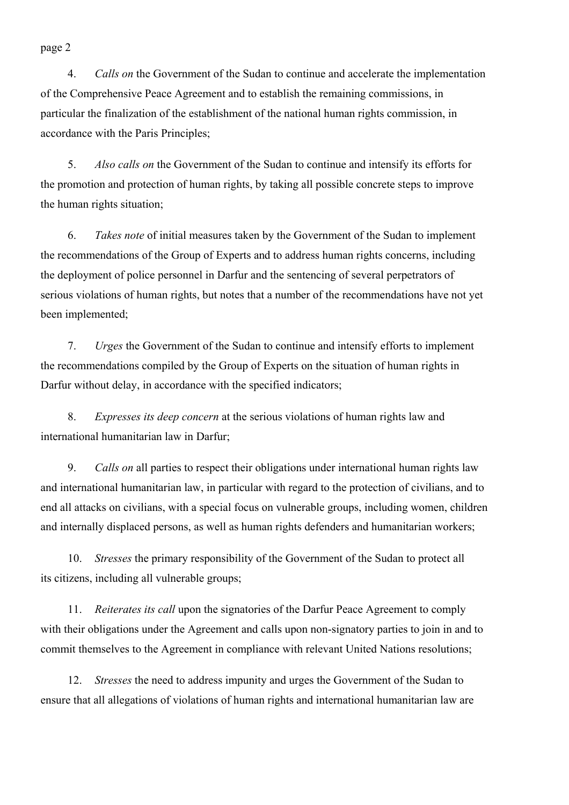page 2

 4. *Calls on* the Government of the Sudan to continue and accelerate the implementation of the Comprehensive Peace Agreement and to establish the remaining commissions, in particular the finalization of the establishment of the national human rights commission, in accordance with the Paris Principles;

 5. *Also calls on* the Government of the Sudan to continue and intensify its efforts for the promotion and protection of human rights, by taking all possible concrete steps to improve the human rights situation;

 6. *Takes note* of initial measures taken by the Government of the Sudan to implement the recommendations of the Group of Experts and to address human rights concerns, including the deployment of police personnel in Darfur and the sentencing of several perpetrators of serious violations of human rights, but notes that a number of the recommendations have not yet been implemented;

 7. *Urges* the Government of the Sudan to continue and intensify efforts to implement the recommendations compiled by the Group of Experts on the situation of human rights in Darfur without delay, in accordance with the specified indicators;

 8. *Expresses its deep concern* at the serious violations of human rights law and international humanitarian law in Darfur;

 9. *Calls on* all parties to respect their obligations under international human rights law and international humanitarian law, in particular with regard to the protection of civilians, and to end all attacks on civilians, with a special focus on vulnerable groups, including women, children and internally displaced persons, as well as human rights defenders and humanitarian workers;

 10. *Stresses* the primary responsibility of the Government of the Sudan to protect all its citizens, including all vulnerable groups;

 11. *Reiterates its call* upon the signatories of the Darfur Peace Agreement to comply with their obligations under the Agreement and calls upon non-signatory parties to join in and to commit themselves to the Agreement in compliance with relevant United Nations resolutions;

 12. *Stresses* the need to address impunity and urges the Government of the Sudan to ensure that all allegations of violations of human rights and international humanitarian law are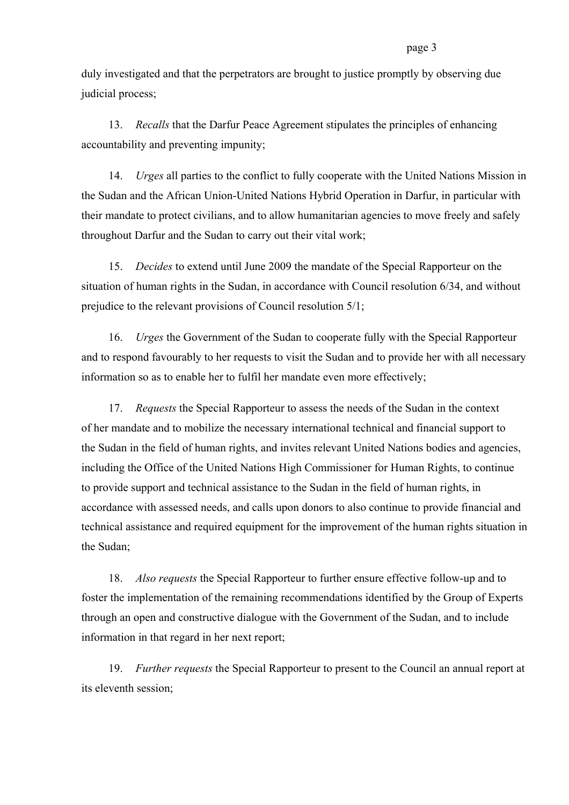duly investigated and that the perpetrators are brought to justice promptly by observing due judicial process;

 13. *Recalls* that the Darfur Peace Agreement stipulates the principles of enhancing accountability and preventing impunity;

 14. *Urges* all parties to the conflict to fully cooperate with the United Nations Mission in the Sudan and the African Union-United Nations Hybrid Operation in Darfur, in particular with their mandate to protect civilians, and to allow humanitarian agencies to move freely and safely throughout Darfur and the Sudan to carry out their vital work;

 15. *Decides* to extend until June 2009 the mandate of the Special Rapporteur on the situation of human rights in the Sudan, in accordance with Council resolution 6/34, and without prejudice to the relevant provisions of Council resolution 5/1;

 16. *Urges* the Government of the Sudan to cooperate fully with the Special Rapporteur and to respond favourably to her requests to visit the Sudan and to provide her with all necessary information so as to enable her to fulfil her mandate even more effectively;

 17. *Requests* the Special Rapporteur to assess the needs of the Sudan in the context of her mandate and to mobilize the necessary international technical and financial support to the Sudan in the field of human rights, and invites relevant United Nations bodies and agencies, including the Office of the United Nations High Commissioner for Human Rights, to continue to provide support and technical assistance to the Sudan in the field of human rights, in accordance with assessed needs, and calls upon donors to also continue to provide financial and technical assistance and required equipment for the improvement of the human rights situation in the Sudan;

 18. *Also requests* the Special Rapporteur to further ensure effective follow-up and to foster the implementation of the remaining recommendations identified by the Group of Experts through an open and constructive dialogue with the Government of the Sudan, and to include information in that regard in her next report;

 19. *Further requests* the Special Rapporteur to present to the Council an annual report at its eleventh session;